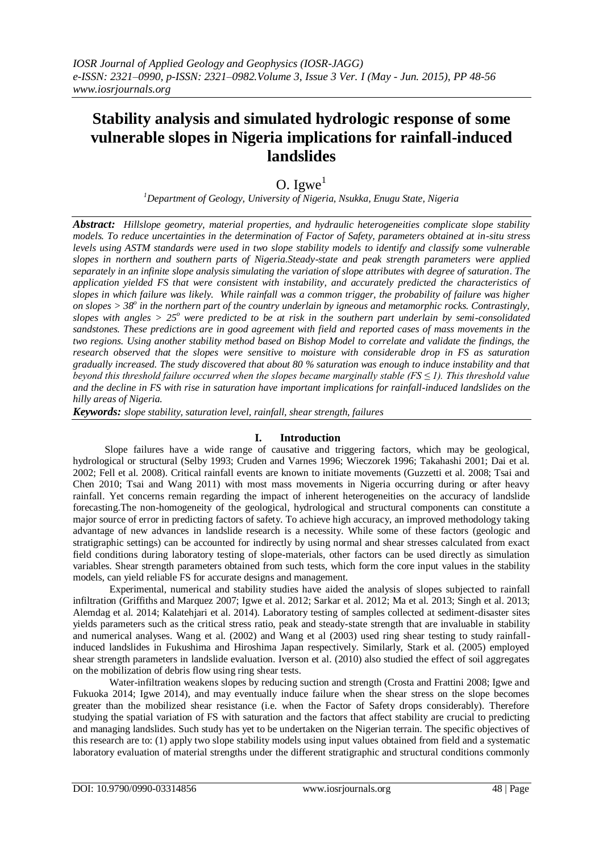# **Stability analysis and simulated hydrologic response of some vulnerable slopes in Nigeria implications for rainfall-induced landslides**

# O. Igwe $<sup>1</sup>$ </sup>

*<sup>1</sup>Department of Geology, University of Nigeria, Nsukka, Enugu State, Nigeria*

*Abstract: Hillslope geometry, material properties, and hydraulic heterogeneities complicate slope stability models. To reduce uncertainties in the determination of Factor of Safety, parameters obtained at in-situ stress levels using ASTM standards were used in two slope stability models to identify and classify some vulnerable slopes in northern and southern parts of Nigeria.Steady-state and peak strength parameters were applied separately in an infinite slope analysis simulating the variation of slope attributes with degree of saturation. The application yielded FS that were consistent with instability, and accurately predicted the characteristics of slopes in which failure was likely. While rainfall was a common trigger, the probability of failure was higher on slopes > 38<sup>o</sup> in the northern part of the country underlain by igneous and metamorphic rocks. Contrastingly, slopes with angles > 25<sup>o</sup> were predicted to be at risk in the southern part underlain by semi-consolidated sandstones. These predictions are in good agreement with field and reported cases of mass movements in the two regions. Using another stability method based on Bishop Model to correlate and validate the findings, the research observed that the slopes were sensitive to moisture with considerable drop in FS as saturation gradually increased. The study discovered that about 80 % saturation was enough to induce instability and that beyond this threshold failure occurred when the slopes became marginally stable (FS ≤ 1). This threshold value and the decline in FS with rise in saturation have important implications for rainfall-induced landslides on the hilly areas of Nigeria.*

*Keywords: slope stability, saturation level, rainfall, shear strength, failures*

## **I. Introduction**

Slope failures have a wide range of causative and triggering factors, which may be geological, hydrological or structural (Selby 1993; Cruden and Varnes 1996; Wieczorek 1996; Takahashi 2001; Dai et al. 2002; Fell et al. 2008). Critical rainfall events are known to initiate movements (Guzzetti et al. 2008; Tsai and Chen 2010; Tsai and Wang 2011) with most mass movements in Nigeria occurring during or after heavy rainfall. Yet concerns remain regarding the impact of inherent heterogeneities on the accuracy of landslide forecasting.The non-homogeneity of the geological, hydrological and structural components can constitute a major source of error in predicting factors of safety. To achieve high accuracy, an improved methodology taking advantage of new advances in landslide research is a necessity. While some of these factors (geologic and stratigraphic settings) can be accounted for indirectly by using normal and shear stresses calculated from exact field conditions during laboratory testing of slope-materials, other factors can be used directly as simulation variables. Shear strength parameters obtained from such tests, which form the core input values in the stability models, can yield reliable FS for accurate designs and management.

Experimental, numerical and stability studies have aided the analysis of slopes subjected to rainfall infiltration [\(Griffiths](http://ascelibrary.org/action/doSearch?ContribStored=griffiths%2C+d+v) and [Marquez](http://ascelibrary.org/action/doSearch?ContribStored=marquez%2C+r+m) 2007; Igwe et al. 2012; Sarkar et al. 2012; Ma et al. 2013; Singh et al. 2013; Alemdag et al. 2014; Kalatehjari et al. 2014). Laboratory testing of samples collected at sediment-disaster sites yields parameters such as the critical stress ratio, peak and steady-state strength that are invaluable in stability and numerical analyses. Wang et al. (2002) and Wang et al (2003) used ring shear testing to study rainfallinduced landslides in Fukushima and Hiroshima Japan respectively. Similarly, Stark et al. (2005) employed shear strength parameters in landslide evaluation. Iverson et al. (2010) also studied the effect of soil aggregates on the mobilization of debris flow using ring shear tests.

Water-infiltration weakens slopes by reducing suction and strength (Crosta and Frattini 2008; Igwe and Fukuoka 2014; Igwe 2014), and may eventually induce failure when the shear stress on the slope becomes greater than the mobilized shear resistance (i.e. when the Factor of Safety drops considerably). Therefore studying the spatial variation of FS with saturation and the factors that affect stability are crucial to predicting and managing landslides. Such study has yet to be undertaken on the Nigerian terrain. The specific objectives of this research are to: (1) apply two slope stability models using input values obtained from field and a systematic laboratory evaluation of material strengths under the different stratigraphic and structural conditions commonly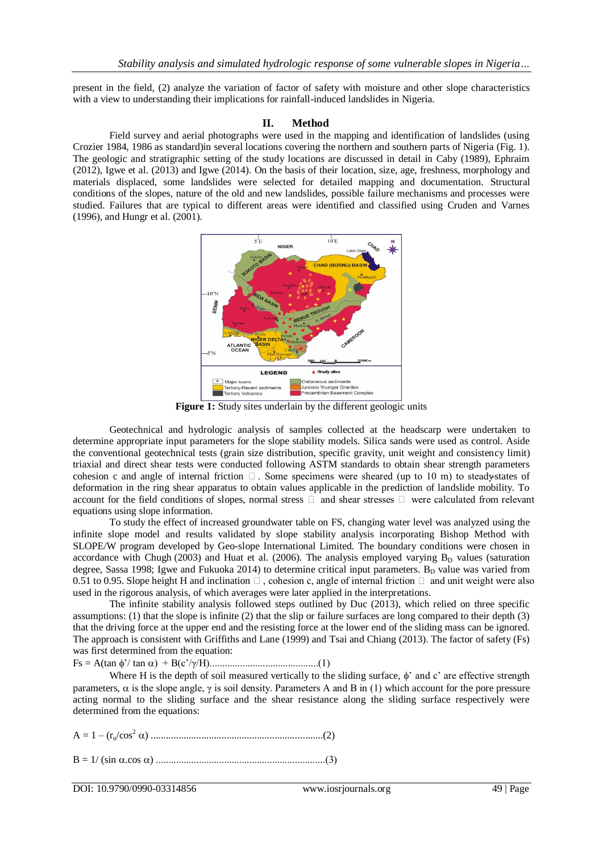present in the field, (2) analyze the variation of factor of safety with moisture and other slope characteristics with a view to understanding their implications for rainfall-induced landslides in Nigeria.

#### **II. Method**

Field survey and aerial photographs were used in the mapping and identification of landslides (using Crozier 1984, 1986 as standard)in several locations covering the northern and southern parts of Nigeria (Fig. 1). The geologic and stratigraphic setting of the study locations are discussed in detail in Caby (1989), Ephraim (2012), Igwe et al. (2013) and Igwe (2014). On the basis of their location, size, age, freshness, morphology and materials displaced, some landslides were selected for detailed mapping and documentation. Structural conditions of the slopes, nature of the old and new landslides, possible failure mechanisms and processes were studied. Failures that are typical to different areas were identified and classified using Cruden and Varnes (1996), and Hungr et al. (2001).



**Figure 1:** Study sites underlain by the different geologic units

Geotechnical and hydrologic analysis of samples collected at the headscarp were undertaken to determine appropriate input parameters for the slope stability models. Silica sands were used as control. Aside the conventional geotechnical tests (grain size distribution, specific gravity, unit weight and consistency limit) triaxial and direct shear tests were conducted following ASTM standards to obtain shear strength parameters cohesion c and angle of internal friction  $\Box$ . Some specimens were sheared (up to 10 m) to steady-states of deformation in the ring shear apparatus to obtain values applicable in the prediction of landslide mobility. To account for the field conditions of slopes, normal stress  $\Box$  and shear stresses  $\Box$  were calculated from relevant equations using slope information.

To study the effect of increased groundwater table on FS, changing water level was analyzed using the infinite slope model and results validated by slope stability analysis incorporating Bishop Method with SLOPE/W program developed by Geo-slope International Limited. The boundary conditions were chosen in accordance with [Chugh](http://ascelibrary.org/action/doSearch?ContribStored=chugh%2C+a+k) (2003) and Huat et al. (2006). The analysis employed varying  $B_D$  values (saturation degree, Sassa 1998; Igwe and Fukuoka 2014) to determine critical input parameters.  $B<sub>D</sub>$  value was varied from 0.51 to 0.95. Slope height H and inclination  $\Box$ , cohesion c, angle of internal friction  $\Box$  and unit weight were also used in the rigorous analysis, of which averages were later applied in the interpretations.

The infinite stability analysis followed steps outlined by Duc (2013), which relied on three specific assumptions: (1) that the slope is infinite (2) that the slip or failure surfaces are long compared to their depth  $(3)$ that the driving force at the upper end and the resisting force at the lower end of the sliding mass can be ignored. The approach is consistent with Griffiths and Lane (1999) and Tsai and Chiang (2013). The factor of safety (Fs) was first determined from the equation:

Fs = A(tan '/ tan ) + B(c'/γ/H)...........................................(1)

Where H is the depth of soil measured vertically to the sliding surface,  $\phi'$  and c' are effective strength parameters,  $\alpha$  is the slope angle,  $\gamma$  is soil density. Parameters A and B in (1) which account for the pore pressure acting normal to the sliding surface and the shear resistance along the sliding surface respectively were determined from the equations:

A = 1 – (ru/cos<sup>2</sup> ) ....................................................................(2) B = 1/ (sin.cos)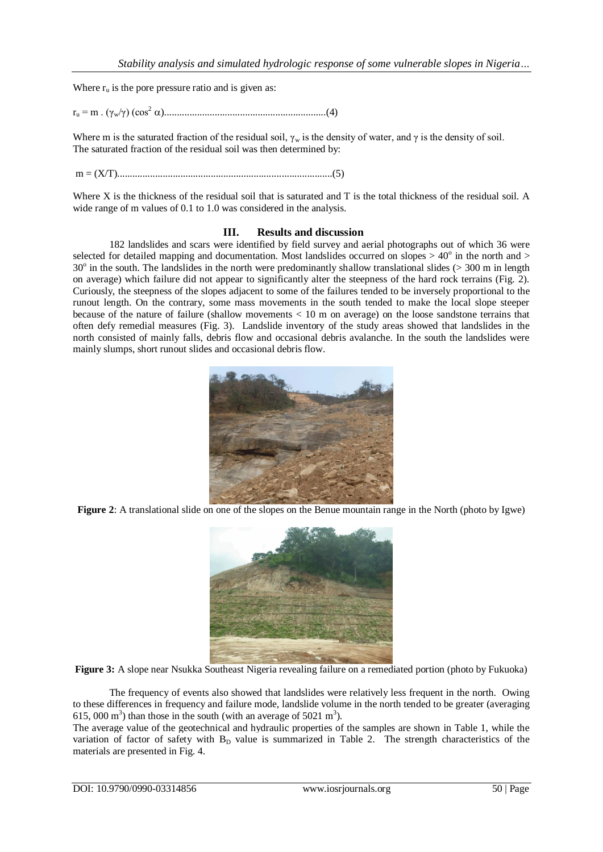Where  $r_{\rm u}$  is the pore pressure ratio and is given as:

r<sup>u</sup> = m . (γw/γ) (cos<sup>2</sup> )................................................................(4)

Where m is the saturated fraction of the residual soil,  $\gamma_w$  is the density of water, and  $\gamma$  is the density of soil. The saturated fraction of the residual soil was then determined by:

m = (X/T).....................................................................................(5)

Where X is the thickness of the residual soil that is saturated and T is the total thickness of the residual soil. A wide range of m values of 0.1 to 1.0 was considered in the analysis.

#### **III. Results and discussion**

182 landslides and scars were identified by field survey and aerial photographs out of which 36 were selected for detailed mapping and documentation. Most landslides occurred on slopes  $> 40^\circ$  in the north and  $>$ 30<sup>o</sup> in the south. The landslides in the north were predominantly shallow translational slides (> 300 m in length on average) which failure did not appear to significantly alter the steepness of the hard rock terrains (Fig. 2). Curiously, the steepness of the slopes adjacent to some of the failures tended to be inversely proportional to the runout length. On the contrary, some mass movements in the south tended to make the local slope steeper because of the nature of failure (shallow movements < 10 m on average) on the loose sandstone terrains that often defy remedial measures (Fig. 3). Landslide inventory of the study areas showed that landslides in the north consisted of mainly falls, debris flow and occasional debris avalanche. In the south the landslides were mainly slumps, short runout slides and occasional debris flow.



**Figure 2**: A translational slide on one of the slopes on the Benue mountain range in the North (photo by Igwe)



**Figure 3:** A slope near Nsukka Southeast Nigeria revealing failure on a remediated portion (photo by Fukuoka)

The frequency of events also showed that landslides were relatively less frequent in the north. Owing to these differences in frequency and failure mode, landslide volume in the north tended to be greater (averaging 615, 000 m<sup>3</sup>) than those in the south (with an average of 5021 m<sup>3</sup>).

The average value of the geotechnical and hydraulic properties of the samples are shown in Table 1, while the variation of factor of safety with  $B_D$  value is summarized in Table 2. The strength characteristics of the materials are presented in Fig. 4.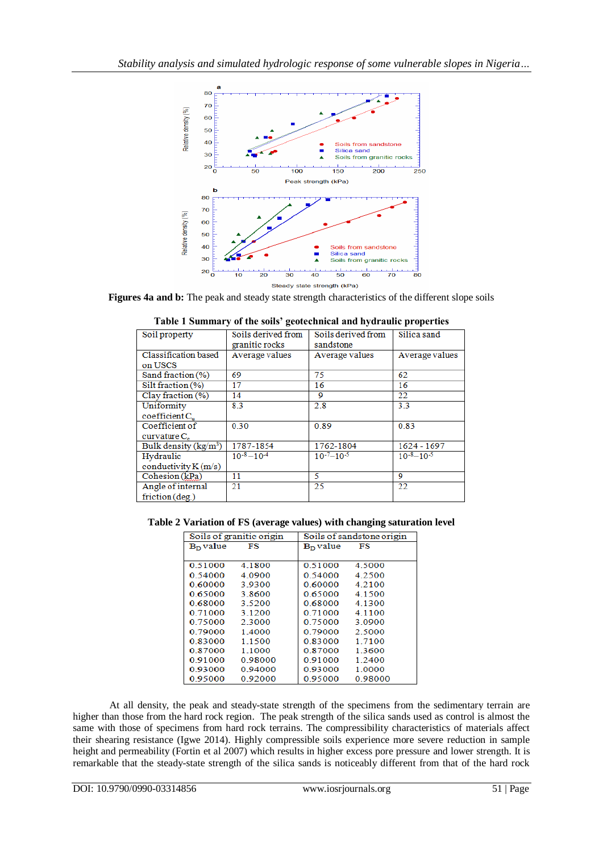

**Figures 4a and b:** The peak and steady state strength characteristics of the different slope soils

| Soil property            | Soils derived from<br>granitic rocks | Soils derived from<br>sandstone | Silica sand       |  |  |  |
|--------------------------|--------------------------------------|---------------------------------|-------------------|--|--|--|
| Classification based     | Average values                       | Average values                  | Average values    |  |  |  |
| on USCS                  |                                      |                                 |                   |  |  |  |
| Sand fraction (%)        | 69                                   | 75                              | 62                |  |  |  |
| Silt fraction $(\% )$    | 17                                   | 16                              | 16                |  |  |  |
| Clay fraction (%)        | 14                                   | 9                               | 22                |  |  |  |
| Uniformity               | 8.3                                  | 2.8                             | 3.3               |  |  |  |
| coefficient C.           |                                      |                                 |                   |  |  |  |
| Coefficient of           | 0.30                                 | 0.89                            | 0.83              |  |  |  |
| curvature C <sub>0</sub> |                                      |                                 |                   |  |  |  |
| Bulk density $(kg/m^3)$  | 1787-1854                            | 1762-1804                       | 1624 - 1697       |  |  |  |
| Hydraulic                | $10^{-8}-10^{-4}$                    | $10^{-7} - 10^{-5}$             | $10^{-8}-10^{-5}$ |  |  |  |
| conductivity $K(m/s)$    |                                      |                                 |                   |  |  |  |
| Cohesion (kPa)           | 11                                   | 5                               | 9                 |  |  |  |
| Angle of internal        | 21                                   | 25                              | 22                |  |  |  |
| friction (deg.)          |                                      |                                 |                   |  |  |  |
|                          |                                      |                                 |                   |  |  |  |

|  | Table 1 Summary of the soils' geotechnical and hydraulic properties |  |
|--|---------------------------------------------------------------------|--|
|  |                                                                     |  |

**Table 2 Variation of FS (average values) with changing saturation level**

| Soils of granitic origin |           |            | Soils of sandstone origin |  |
|--------------------------|-----------|------------|---------------------------|--|
| $BD$ value               | FS        | $BD$ value | FS                        |  |
|                          |           |            |                           |  |
| 0.51000                  | 4.1800    | 0.51000    | 4.5000                    |  |
| 0.54000                  | 4.0900    | 0.54000    | 4.2500                    |  |
| 0.60000                  | 39300     | 0.60000    | 4.2100                    |  |
| 0.65000                  | 3.8600    | 0.65000    | 4.1500                    |  |
| 0.68000                  | 3.5200    | 0.68000    | 4 1 3 0 0                 |  |
| 0.71000                  | 3 1 2 0 0 | 0.71000    | 4 1 1 0 0                 |  |
| 0.75000                  | 2.3000    | 0.75000    | 3.0900                    |  |
| 0.79000                  | 1.4000    | 0.79000    | 2.5000                    |  |
| 0.83000                  | 1 1 5 0 0 | 0.83000    | 1 7100                    |  |
| 0.87000                  | 1.1000    | 0.87000    | 1.3600                    |  |
| 0.91000                  | 0.98000   | 0.91000    | 1 2400                    |  |
| 0.93000                  | 0.94000   | 0.93000    | 1.0000                    |  |
| 0.95000                  | 0.92000   | 0.95000    | 0.98000                   |  |

At all density, the peak and steady-state strength of the specimens from the sedimentary terrain are higher than those from the hard rock region. The peak strength of the silica sands used as control is almost the same with those of specimens from hard rock terrains. The compressibility characteristics of materials affect their shearing resistance (Igwe 2014). Highly compressible soils experience more severe reduction in sample height and permeability (Fortin et al 2007) which results in higher excess pore pressure and lower strength. It is remarkable that the steady-state strength of the silica sands is noticeably different from that of the hard rock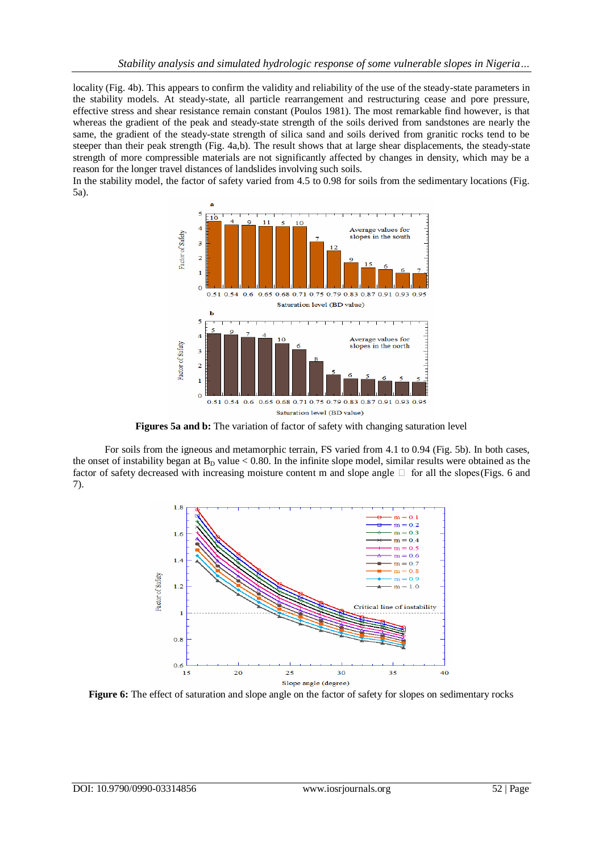locality (Fig. 4b). This appears to confirm the validity and reliability of the use of the steady-state parameters in the stability models. At steady-state, all particle rearrangement and restructuring cease and pore pressure, effective stress and shear resistance remain constant (Poulos 1981). The most remarkable find however, is that whereas the gradient of the peak and steady-state strength of the soils derived from sandstones are nearly the same, the gradient of the steady-state strength of silica sand and soils derived from granitic rocks tend to be steeper than their peak strength (Fig. 4a,b). The result shows that at large shear displacements, the steady-state strength of more compressible materials are not significantly affected by changes in density, which may be a reason for the longer travel distances of landslides involving such soils.

In the stability model, the factor of safety varied from 4.5 to 0.98 for soils from the sedimentary locations (Fig. 5a).



**Figures 5a and b:** The variation of factor of safety with changing saturation level

For soils from the igneous and metamorphic terrain, FS varied from 4.1 to 0.94 (Fig. 5b). In both cases, the onset of instability began at  $B_D$  value < 0.80. In the infinite slope model, similar results were obtained as the factor of safety decreased with increasing moisture content m and slope angle  $\Box$  for all the slopes (Figs. 6 and 7).



**Figure 6:** The effect of saturation and slope angle on the factor of safety for slopes on sedimentary rocks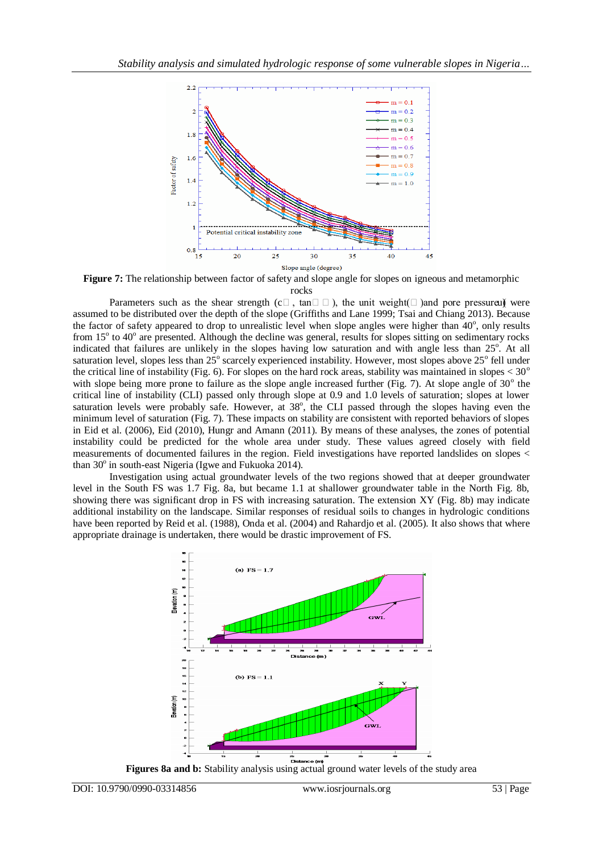

**Figure 7:** The relationship between factor of safety and slope angle for slopes on igneous and metamorphic rocks

Parameters such as the shear strength ( $c \Box$ , tan $\Box \Box$ ), the unit weight( $\Box$ )and pore pressure ( were assumed to be distributed over the depth of the slope (Griffiths and Lane 1999; Tsai and Chiang 2013). Because the factor of safety appeared to drop to unrealistic level when slope angles were higher than  $40^{\circ}$ , only results from 15<sup>°</sup> to 40<sup>°</sup> are presented. Although the decline was general, results for slopes sitting on sedimentary rocks indicated that failures are unlikely in the slopes having low saturation and with angle less than 25°. At all saturation level, slopes less than  $25^{\circ}$  scarcely experienced instability. However, most slopes above  $25^{\circ}$  fell under the critical line of instability (Fig. 6). For slopes on the hard rock areas, stability was maintained in slopes  $< 30^{\circ}$ with slope being more prone to failure as the slope angle increased further (Fig. 7). At slope angle of  $30^{\circ}$  the critical line of instability (CLI) passed only through slope at 0.9 and 1.0 levels of saturation; slopes at lower saturation levels were probably safe. However, at  $38^\circ$ , the CLI passed through the slopes having even the minimum level of saturation (Fig. 7). These impacts on stability are consistent with reported behaviors of slopes in Eid et al. (2006), Eid (2010), Hungr and Amann (2011). By means of these analyses, the zones of potential instability could be predicted for the whole area under study. These values agreed closely with field measurements of documented failures in the region. Field investigations have reported landslides on slopes < than 30° in south-east Nigeria (Igwe and Fukuoka 2014).

Investigation using actual groundwater levels of the two regions showed that at deeper groundwater level in the South FS was 1.7 Fig. 8a, but became 1.1 at shallower groundwater table in the North Fig. 8b, showing there was significant drop in FS with increasing saturation. The extension XY (Fig. 8b) may indicate additional instability on the landscape. Similar responses of residual soils to changes in hydrologic conditions have been reported by Reid et al. (1988), Onda et al. (2004) and Rahardjo et al. (2005). It also shows that where appropriate drainage is undertaken, there would be drastic improvement of FS.



**Figures 8a and b:** Stability analysis using actual ground water levels of the study area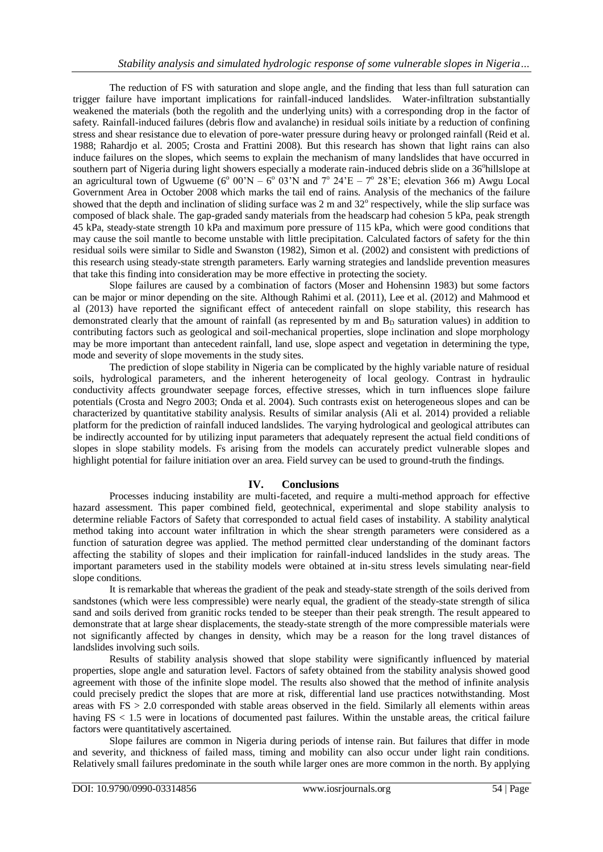The reduction of FS with saturation and slope angle, and the finding that less than full saturation can trigger failure have important implications for rainfall-induced landslides. Water-infiltration substantially weakened the materials (both the regolith and the underlying units) with a corresponding drop in the factor of safety. Rainfall-induced failures (debris flow and avalanche) in residual soils initiate by a reduction of confining stress and shear resistance due to elevation of pore-water pressure during heavy or prolonged rainfall (Reid et al. 1988; Rahardjo et al. 2005; Crosta and Frattini 2008). But this research has shown that light rains can also induce failures on the slopes, which seems to explain the mechanism of many landslides that have occurred in southern part of Nigeria during light showers especially a moderate rain-induced debris slide on a 36° hillslope at an agricultural town of Ugwueme ( $6^{\circ}$  00'N –  $6^{\circ}$  03'N and  $7^{\circ}$  24'E –  $7^{\circ}$  28'E; elevation 366 m) Awgu Local Government Area in October 2008 which marks the tail end of rains. Analysis of the mechanics of the failure showed that the depth and inclination of sliding surface was  $2 \text{ m}$  and  $32^{\circ}$  respectively, while the slip surface was composed of black shale. The gap-graded sandy materials from the headscarp had cohesion 5 kPa, peak strength 45 kPa, steady-state strength 10 kPa and maximum pore pressure of 115 kPa, which were good conditions that may cause the soil mantle to become unstable with little precipitation. Calculated factors of safety for the thin residual soils were similar to Sidle and Swanston (1982), Simon et al. (2002) and consistent with predictions of this research using steady-state strength parameters. Early warning strategies and landslide prevention measures that take this finding into consideration may be more effective in protecting the society.

Slope failures are caused by a combination of factors (Moser and Hohensinn 1983) but some factors can be major or minor depending on the site. Although Rahimi et al. (2011), Lee et al. (2012) and Mahmood et al (2013) have reported the significant effect of antecedent rainfall on slope stability, this research has demonstrated clearly that the amount of rainfall (as represented by m and  $B<sub>D</sub>$  saturation values) in addition to contributing factors such as geological and soil-mechanical properties, slope inclination and slope morphology may be more important than antecedent rainfall, land use, slope aspect and vegetation in determining the type, mode and severity of slope movements in the study sites.

The prediction of slope stability in Nigeria can be complicated by the highly variable nature of residual soils, hydrological parameters, and the inherent heterogeneity of local geology. Contrast in hydraulic conductivity affects groundwater seepage forces, effective stresses, which in turn influences slope failure potentials (Crosta and Negro 2003; Onda et al. 2004). Such contrasts exist on heterogeneous slopes and can be characterized by quantitative stability analysis. Results of similar analysis (Ali et al. 2014) provided a reliable platform for the prediction of rainfall induced landslides. The varying hydrological and geological attributes can be indirectly accounted for by utilizing input parameters that adequately represent the actual field conditions of slopes in slope stability models. Fs arising from the models can accurately predict vulnerable slopes and highlight potential for failure initiation over an area. Field survey can be used to ground-truth the findings.

### **IV. Conclusions**

Processes inducing instability are multi-faceted, and require a multi-method approach for effective hazard assessment. This paper combined field, geotechnical, experimental and slope stability analysis to determine reliable Factors of Safety that corresponded to actual field cases of instability. A stability analytical method taking into account water infiltration in which the shear strength parameters were considered as a function of saturation degree was applied. The method permitted clear understanding of the dominant factors affecting the stability of slopes and their implication for rainfall-induced landslides in the study areas. The important parameters used in the stability models were obtained at in-situ stress levels simulating near-field slope conditions.

It is remarkable that whereas the gradient of the peak and steady-state strength of the soils derived from sandstones (which were less compressible) were nearly equal, the gradient of the steady-state strength of silica sand and soils derived from granitic rocks tended to be steeper than their peak strength. The result appeared to demonstrate that at large shear displacements, the steady-state strength of the more compressible materials were not significantly affected by changes in density, which may be a reason for the long travel distances of landslides involving such soils.

Results of stability analysis showed that slope stability were significantly influenced by material properties, slope angle and saturation level. Factors of safety obtained from the stability analysis showed good agreement with those of the infinite slope model. The results also showed that the method of infinite analysis could precisely predict the slopes that are more at risk, differential land use practices notwithstanding. Most areas with FS > 2.0 corresponded with stable areas observed in the field. Similarly all elements within areas having FS < 1.5 were in locations of documented past failures. Within the unstable areas, the critical failure factors were quantitatively ascertained.

Slope failures are common in Nigeria during periods of intense rain. But failures that differ in mode and severity, and thickness of failed mass, timing and mobility can also occur under light rain conditions. Relatively small failures predominate in the south while larger ones are more common in the north. By applying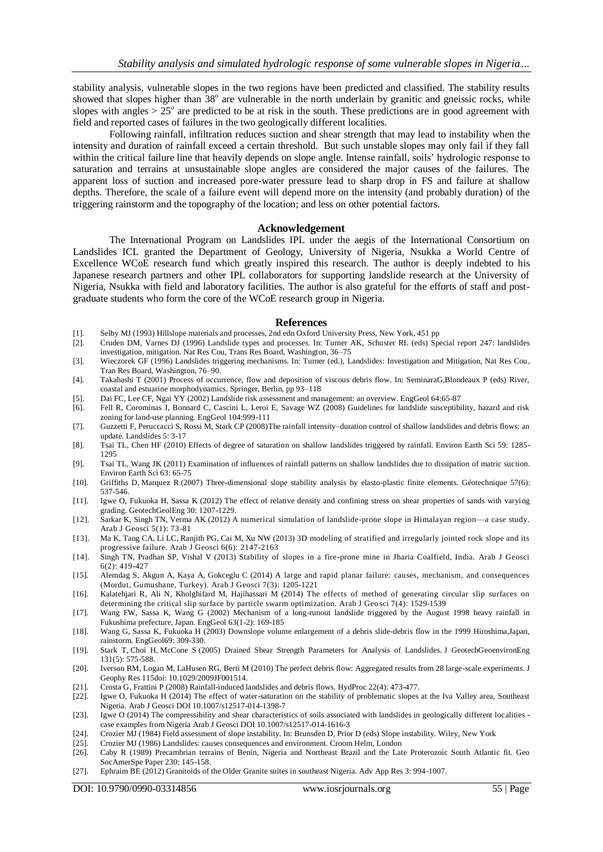stability analysis, vulnerable slopes in the two regions have been predicted and classified. The stability results showed that slopes higher than 38° are vulnerable in the north underlain by granitic and gneissic rocks, while slopes with angles  $> 25^{\circ}$  are predicted to be at risk in the south. These predictions are in good agreement with field and reported cases of failures in the two geologically different localities.

Following rainfall, infiltration reduces suction and shear strength that may lead to instability when the intensity and duration of rainfall exceed a certain threshold. But such unstable slopes may only fail if they fall within the critical failure line that heavily depends on slope angle. Intense rainfall, soils' hydrologic response to saturation and terrains at unsustainable slope angles are considered the major causes of the failures. The apparent loss of suction and increased pore-water pressure lead to sharp drop in FS and failure at shallow depths. Therefore, the scale of a failure event will depend more on the intensity (and probably duration) of the triggering rainstorm and the topography of the location; and less on other potential factors.

#### **Acknowledgement**

The International Program on Landslides IPL under the aegis of the International Consortium on Landslides ICL granted the Department of Geology, University of Nigeria, Nsukka a World Centre of Excellence WCoE research fund which greatly inspired this research. The author is deeply indebted to his Japanese research partners and other IPL collaborators for supporting landslide research at the University of Nigeria, Nsukka with field and laboratory facilities. The author is also grateful for the efforts of staff and postgraduate students who form the core of the WCoE research group in Nigeria.

#### **References**

- [1]. Selby MJ (1993) Hillslope materials and processes, 2nd edn Oxford University Press, New York, 451 pp
- [2]. Cruden DM, Varnes DJ (1996) Landslide types and processes. In: Turner AK, Schuster RL (eds) Special report 247: landslides investigation, mitigation. Nat Res Cou, Trans Res Board, Washington, 36–75
- [3]. Wieczorek GF (1996) Landslides triggering mechanisms. In: Turner (ed.), Landslides: Investigation and Mitigation, Nat Res Cou, Tran Res Board, Washington, 76–90.
- [4]. Takahashi T (2001) Process of occurrence, flow and deposition of viscous debris flow. In: SeminaraG,Blondeaux P (eds) River, coastal and estuarine morphodynamics. Springer, Berlin, pp 93–118
- [5]. Dai FC, Lee CF, Ngai YY (2002) Landslide risk assessment and management: an overview. EngGeol 64:65-87
- [6]. Fell R, Corominas J, Bonnard C, Cascini L, Leroi E, Savage WZ (2008) Guidelines for landslide susceptibility, hazard and risk zoning for land-use planning. EngGeol 104:999-111
- [7]. Guzzetti F, Peruccacci S, Rossi M, Stark CP (2008)The rainfall intensity–duration control of shallow landslides and debris flows: an update[. Landslides](http://link.springer.com/journal/10346) 5: 3-17
- [8]. Tsai TL, Chen HF (2010) Effects of degree of saturation on shallow landslides triggered by rainfall. Environ Earth Sci 59: 1285- 1295
- [9]. Tsai TL, Wang JK (2011) Examination of influences of rainfall patterns on shallow landslides due to dissipation of matric suction. Environ Earth Sci 63: 65-75
- [10]. [Griffiths D,](http://ascelibrary.org/action/doSearch?ContribStored=griffiths%2C+d+v) [Marquez R](http://ascelibrary.org/action/doSearch?ContribStored=marquez%2C+r+m) (2007) Three-dimensional slope stability analysis by elasto-plastic finite elements. Géotechnique 57(6): 537-546.
- [11]. Igwe O, Fukuoka H, Sassa K (2012) The effect of relative density and confining stress on shear properties of sands with varying grading. GeotechGeolEng 30: 1207-1229.
- [12]. Sarkar K, Singh TN, Verma AK (2012) A numerical simulation of landslide-prone slope in Himalayan region—a case study. Arab J Geosci 5(1): 73-81
- [13]. Ma K, Tang CA, Li LC, Ranjith PG, Cai M, Xu NW (2013) 3D modeling of stratified and irregularly jointed rock slope and its progressive failure. Arab J Geosci 6(6): 2147-2163
- [14]. Singh TN, Pradhan SP, Vishal V (2013) Stability of slopes in a fire-prone mine in Jharia Coalfield, India. Arab J Geosci 6(2): 419-427
- [15]. Alemdag S, Akgun A, Kaya A, Gokceglu C (2014) A large and rapid planar failure: causes, mechanism, and consequences (Mordut, Gumushane, Turkey). Arab J Geosci 7(3): 1205-1221
- [16]. Kalatehjari R, Ali N, Kholghifard M, Hajihassari M (2014) The effects of method of generating circular slip surfaces on determining the critical slip surface by particle swarm optimization. Arab J Geo sci 7(4): 1529-1539
- [17]. Wang FW, Sassa K, Wang G (2002) Mechanism of a long-runout landslide triggered by the August 1998 heavy rainfall in Fukushima prefecture, Japan. EngGeol 63(1-2): 169-185
- [18]. Wang G, Sassa K, Fukuoka H (2003) Downslope volume enlargement of a debris slide-debris flow in the 1999 Hiroshima,Japan, rainstorm. EngGeol69: 309-330.
- [19]. [Stark T,](http://ascelibrary.org/action/doSearch?ContribStored=Stark%2C+T+D) [Choi](http://ascelibrary.org/action/doSearch?ContribStored=Choi%2C+H) H, [McCone S](http://ascelibrary.org/action/doSearch?ContribStored=McCone%2C+S) (2005) Drained Shear Strength Parameters for Analysis of Landslides. J GeotechGeoenvironEng 131(5): 575-588.
- [20]. Iverson RM, Logan M, LaHusen RG, Berti M (2010) The perfect debris flow: Aggregated results from 28 large-scale experiments. J Geophy Res 115doi: 10.1029/2009JF001514.
- [21]. [Crosta G,](http://ascelibrary.org/action/doSearch?ContribStored=crosta%2C+g+b) [Frattini P](http://ascelibrary.org/action/doSearch?ContribStored=frattini%2C+p) (2008) Rainfall-induced landslides and debris flows. HydProc 22(4): 473-477.
- [22]. Igwe O, Fukuoka H (2014) The effect of water-saturation on the stability of problematic slopes at the Iva Valley area, Southeast Nigeria. Arab J Geosci DOI 10.1007/s12517-014-1398-7
- [23]. Igwe O (2014) The compressibility and shear characteristics of soils associated with landslides in geologically different localities case examples from Nigeria Arab J Geosci DOI 10.1007/s12517-014-1616-3
- [24]. Crozier MJ (1984) Field assessment of slope instability. In: Brunsden D, Prior D (eds) Slope instability. Wiley, New York
- [25]. Crozier MJ (1986) Landslides: causes consequences and environment. Croom Helm, London [26]. Caby R (1989) Precambrian terrains of Benin, Nigeria and Northeast Brazil and the Lat [26]. Caby R (1989) Precambrian terrains of Benin, Nigeria and Northeast Brazil and the Late Proterozoic South Atlantic fit. Geo SocAmerSpe Paper 230: 145-158.
- [27]. Ephraim BE (2012) Granitoids of the Older Granite suites in southeast Nigeria. Adv App Res 3: 994-1007.